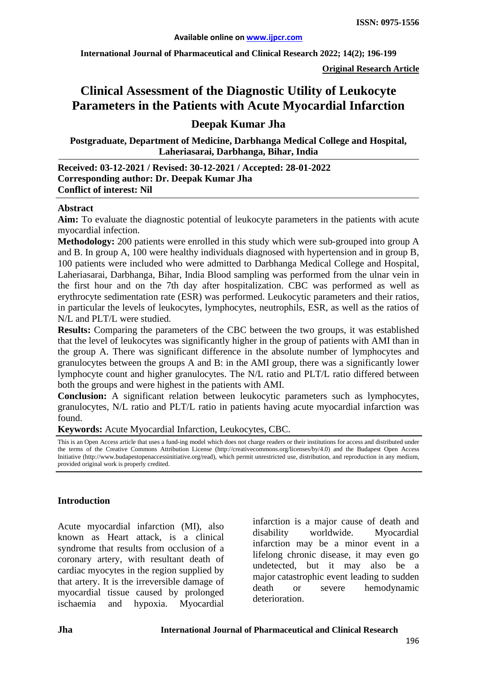**International Journal of Pharmaceutical and Clinical Research 2022; 14(2); 196-199**

**Original Research Article**

# **Clinical Assessment of the Diagnostic Utility of Leukocyte Parameters in the Patients with Acute Myocardial Infarction**

## **Deepak Kumar Jha**

**Postgraduate, Department of Medicine, Darbhanga Medical College and Hospital, Laheriasarai, Darbhanga, Bihar, India**

#### **Received: 03-12-2021 / Revised: 30-12-2021 / Accepted: 28-01-2022 Corresponding author: Dr. Deepak Kumar Jha Conflict of interest: Nil**

#### **Abstract**

**Aim:** To evaluate the diagnostic potential of leukocyte parameters in the patients with acute myocardial infection.

**Methodology:** 200 patients were enrolled in this study which were sub-grouped into group A and B. In group A, 100 were healthy individuals diagnosed with hypertension and in group B, 100 patients were included who were admitted to Darbhanga Medical College and Hospital, Laheriasarai, Darbhanga, Bihar, India Blood sampling was performed from the ulnar vein in the first hour and on the 7th day after hospitalization. CBC was performed as well as erythrocyte sedimentation rate (ESR) was performed. Leukocytic parameters and their ratios, in particular the levels of leukocytes, lymphocytes, neutrophils, ESR, as well as the ratios of N/L and PLT/L were studied.

**Results:** Comparing the parameters of the CBC between the two groups, it was established that the level of leukocytes was significantly higher in the group of patients with AMI than in the group A. There was significant difference in the absolute number of lymphocytes and granulocytes between the groups A and B: in the AMI group, there was a significantly lower lymphocyte count and higher granulocytes. The N/L ratio and PLT/L ratio differed between both the groups and were highest in the patients with AMI.

**Conclusion:** A significant relation between leukocytic parameters such as lymphocytes, granulocytes, N/L ratio and PLT/L ratio in patients having acute myocardial infarction was found.

**Keywords:** Acute Myocardial Infarction, Leukocytes, CBC.

This is an Open Access article that uses a fund-ing model which does not charge readers or their institutions for access and distributed under the terms of the Creative Commons Attribution License (http://creativecommons.org/licenses/by/4.0) and the Budapest Open Access Initiative (http://www.budapestopenaccessinitiative.org/read), which permit unrestricted use, distribution, and reproduction in any medium, provided original work is properly credited.

#### **Introduction**

Acute myocardial infarction (MI), also known as Heart attack, is a clinical syndrome that results from occlusion of a coronary artery, with resultant death of cardiac myocytes in the region supplied by that artery. It is the irreversible damage of myocardial tissue caused by prolonged ischaemia and hypoxia. Myocardial

infarction is a major cause of death and disability worldwide. Myocardial infarction may be a minor event in a lifelong chronic disease, it may even go undetected, but it may also be a major catastrophic event leading to sudden death or severe hemodynamic deterioration.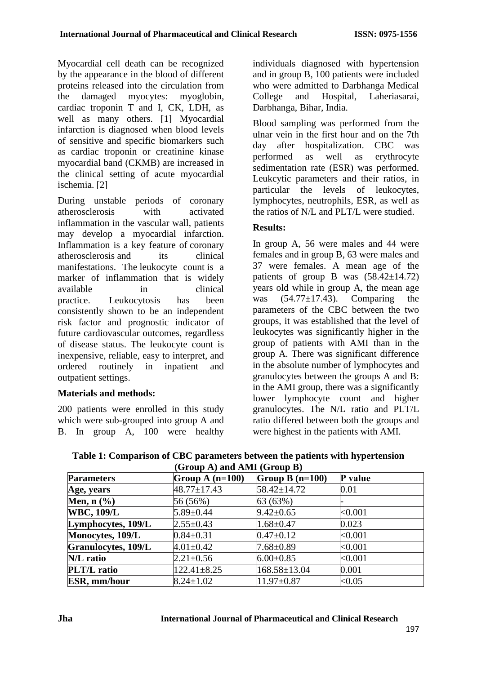Myocardial cell death can be recognized by the appearance in the blood of different proteins released into the circulation from the damaged myocytes: myoglobin, cardiac troponin T and I, CK, LDH, as well as many others. [1] Myocardial infarction is diagnosed when blood levels of sensitive and specific biomarkers such as cardiac troponin or creatinine kinase myocardial band (CKMB) are increased in the clinical setting of acute myocardial ischemia. [2]

During unstable periods of coronary atherosclerosis with activated inflammation in the vascular wall, patients may develop a myocardial infarction. Inflammation is a key feature of coronary atherosclerosis and its clinical manifestations. The leukocyte count is a marker of inflammation that is widely available in clinical practice. Leukocytosis has been consistently shown to be an independent risk factor and prognostic indicator of future cardiovascular outcomes, regardless of disease status. The leukocyte count is inexpensive, reliable, easy to interpret, and ordered routinely in inpatient and outpatient settings.

## **Materials and methods:**

200 patients were enrolled in this study which were sub-grouped into group A and B. In group A, 100 were healthy

individuals diagnosed with hypertension and in group B, 100 patients were included who were admitted to Darbhanga Medical College and Hospital, Laheriasarai, Darbhanga, Bihar, India.

Blood sampling was performed from the ulnar vein in the first hour and on the 7th day after hospitalization. CBC was performed as well as erythrocyte sedimentation rate (ESR) was performed. Leukcytic parameters and their ratios, in particular the levels of leukocytes, lymphocytes, neutrophils, ESR, as well as the ratios of N/L and PLT/L were studied.

## **Results:**

In group A, 56 were males and 44 were females and in group B, 63 were males and 37 were females. A mean age of the patients of group B was  $(58.42 \pm 14.72)$ years old while in group A, the mean age was  $(54.77 \pm 17.43)$ . Comparing the parameters of the CBC between the two groups, it was established that the level of leukocytes was significantly higher in the group of patients with AMI than in the group A. There was significant difference in the absolute number of lymphocytes and granulocytes between the groups A and B: in the AMI group, there was a significantly lower lymphocyte count and higher granulocytes. The N/L ratio and PLT/L ratio differed between both the groups and were highest in the patients with AMI.

| (Group A) and AMI (Group B) |                   |                   |           |  |
|-----------------------------|-------------------|-------------------|-----------|--|
| <b>Parameters</b>           | Group A $(n=100)$ | Group B $(n=100)$ | P value   |  |
| Age, years                  | $48.77 \pm 17.43$ | 58.42±14.72       | 0.01      |  |
| Men, $n$ $(\%)$             | 56 (56%)          | 63(63%)           |           |  |
| <b>WBC, 109/L</b>           | $5.89 \pm 0.44$   | $9.42 \pm 0.65$   | < 0.001   |  |
| Lymphocytes, 109/L          | $2.55 \pm 0.43$   | $1.68 \pm 0.47$   | 0.023     |  |
| Monocytes, 109/L            | $0.84 \pm 0.31$   | $0.47 \pm 0.12$   | < 0.001   |  |
| Granulocytes, 109/L         | $4.01 \pm 0.42$   | $7.68 \pm 0.89$   | <0.001    |  |
| N/L ratio                   | $2.21 \pm 0.56$   | $6.00 \pm 0.85$   | < 0.001   |  |
| <b>PLT/L</b> ratio          | $122.41 \pm 8.25$ | 168.58±13.04      | 0.001     |  |
| <b>ESR, mm/hour</b>         | $8.24 \pm 1.02$   | $11.97 \pm 0.87$  | ${<}0.05$ |  |

**Table 1: Comparison of CBC parameters between the patients with hypertension**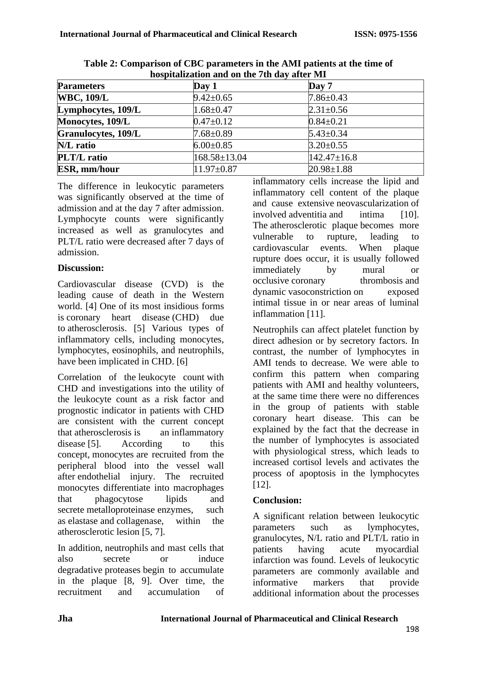| hospitalization and on the 7th day after MI |                  |                   |  |  |
|---------------------------------------------|------------------|-------------------|--|--|
| <b>Parameters</b>                           | Day 1            | Day 7             |  |  |
| <b>WBC, 109/L</b>                           | $9.42 \pm 0.65$  | $7.86 \pm 0.43$   |  |  |
| Lymphocytes, 109/L                          | $1.68 \pm 0.47$  | $2.31 \pm 0.56$   |  |  |
| Monocytes, 109/L                            | $0.47 \pm 0.12$  | $0.84 \pm 0.21$   |  |  |
| <b>Granulocytes, 109/L</b>                  | $7.68 \pm 0.89$  | $5.43 \pm 0.34$   |  |  |
| N/L ratio                                   | $6.00 \pm 0.85$  | $3.20 \pm 0.55$   |  |  |
| <b>PLT/L</b> ratio                          | 168.58±13.04     | $142.47 \pm 16.8$ |  |  |
| <b>ESR, mm/hour</b>                         | $11.97 \pm 0.87$ | $20.98 \pm 1.88$  |  |  |

**Table 2: Comparison of CBC parameters in the AMI patients at the time of hospitalization and on the 7th day after MI**

The difference in leukocytic parameters was significantly observed at the time of admission and at the day 7 after admission. Lymphocyte counts were significantly increased as well as granulocytes and PLT/L ratio were decreased after 7 days of admission.

## **Discussion:**

Cardiovascular disease (CVD) is the leading cause of death in the Western world. [4] One of its most insidious forms is coronary heart disease (CHD) due to atherosclerosis. [5] Various types of inflammatory cells, including monocytes, lymphocytes, eosinophils, and neutrophils, have been implicated in CHD. [6]

Correlation of the leukocyte count with CHD and investigations into the utility of the leukocyte count as a risk factor and prognostic indicator in patients with CHD are consistent with the current concept that atherosclerosis is an inflammatory disease [5]. According to this concept, monocytes are recruited from the peripheral blood into the vessel wall after endothelial injury. The recruited monocytes differentiate into macrophages that phagocytose lipids and secrete metalloproteinase enzymes, such as elastase and collagenase, within the atherosclerotic lesion [5, 7].

In addition, neutrophils and mast cells that also secrete or induce degradative proteases begin to accumulate in the plaque [8, 9]. Over time, the recruitment and accumulation of inflammatory cells increase the lipid and inflammatory cell content of the plaque and cause extensive neovascularization of involved adventitia and intima [10]. The atherosclerotic plaque becomes more vulnerable to rupture, leading to cardiovascular events. When plaque rupture does occur, it is usually followed immediately by mural or occlusive coronary thrombosis and dynamic vasoconstriction on exposed intimal tissue in or near areas of luminal inflammation [11].

Neutrophils can affect platelet function by direct adhesion or by secretory factors. In contrast, the number of lymphocytes in AMI tends to decrease. We were able to confirm this pattern when comparing patients with AMI and healthy volunteers, at the same time there were no differences in the group of patients with stable coronary heart disease. This can be explained by the fact that the decrease in the number of lymphocytes is associated with physiological stress, which leads to increased cortisol levels and activates the process of apoptosis in the lymphocytes [12].

## **Conclusion:**

A significant relation between leukocytic parameters such as lymphocytes, granulocytes, N/L ratio and PLT/L ratio in patients having acute myocardial infarction was found. Levels of leukocytic parameters are commonly available and informative markers that provide additional information about the processes